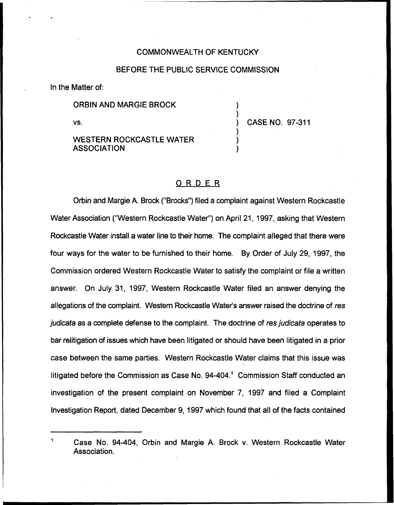## COMMONWEALTH OF KENTUCKY

## BEFORE THE PUBLIC SERVICE COMMISSION

In the Matter of:

ORBIN AND MARGIE BROCK

vs.

WESTERN ROCKCASTLE WATER **ASSOCIATION** 

) CASE NO. 97-311

) )

) ) )

## ORDER

Orbin and Margie A. Brock ("Brocks") filed a complaint against Western Rockcastle Water Association ("Western Rockcastle Water") on April 21, 1997, asking that Western Rockcastle Water install a water line to their home. The complaint alleged that there were four ways for the water to be furnished to their home. By Order of July 29, 1997, the Commission ordered Western Rockcastle Water to satisfy the complaint or file a written answer. On July 31, 1997, Western Rockcastle Water filed an answer denying the allegations of the complaint. Western Rockcastle Water's answer raised the doctrine of res judicata as a complete defense to the complaint. The doctrine of res judicata operates to bar relitigation of issues which have been litigated or should have been litigated in a prior case between the same parties. Western Rockcastle Water claims that this issue was litigated before the Commission as Case No. 94-404." Commission Staff conducted an investigation of the present complaint on November 7, 1997 and filed a Complaint Investigation Report, dated December 9, 1997 which found that all of the facts contained

Case No. 94-404, Orbin and Margie A. Brock v. Western Rockcastle Water Association.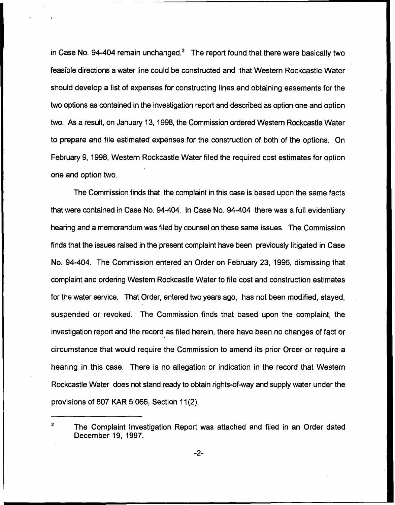in Case No. 94-404 remain unchanged. $^2$  The report found that there were basically two feasible directions a water line could be constructed and that Western Rockcastle Water should develop a list of expenses for constructing lines and obtaining easements for the two options as contained in the investigation report and described as option one and option two. As a result, on January 13, 1998, the Commission ordered Western Rockcastle Water to prepare and file estimated expenses for the construction of both of the options. On February 9, 1998, Western Rockcastle Water filed the required cost estimates for option one and option two.

The Commission finds that the complaint in this case is based upon the same facts that were contained in Case No. 94-404. In Case No. 94-404 there was a full evidentiary hearing and a memorandum was filed by counsel on these same issues. The Commission finds that the issues raised in the present complaint have been previously litigated in Case No. 94-404. The Commission entered an Order on February 23, 1996, dismissing that complaint and ordering Western Rockcastle Water to file cost and construction estimates for the water service. That Order, entered two years ago, has not been modified, stayed, suspended or revoked. The Commission finds that based upon the complaint, the investigation report and the record as filed herein, there have been no changes of fact or circumstance that would require the Commission to amend its prior Order or require a hearing in this case. There is no allegation or indication in the record that Western Rockcastle Water does not stand ready to obtain rights-of-way and supply water under the provisions of 807 KAR 5:066, Section 11(2).

 $-2-$ 

 $\overline{2}$ The Complaint Investigation Report was attached and filed in an Order dated December 19, 1997.